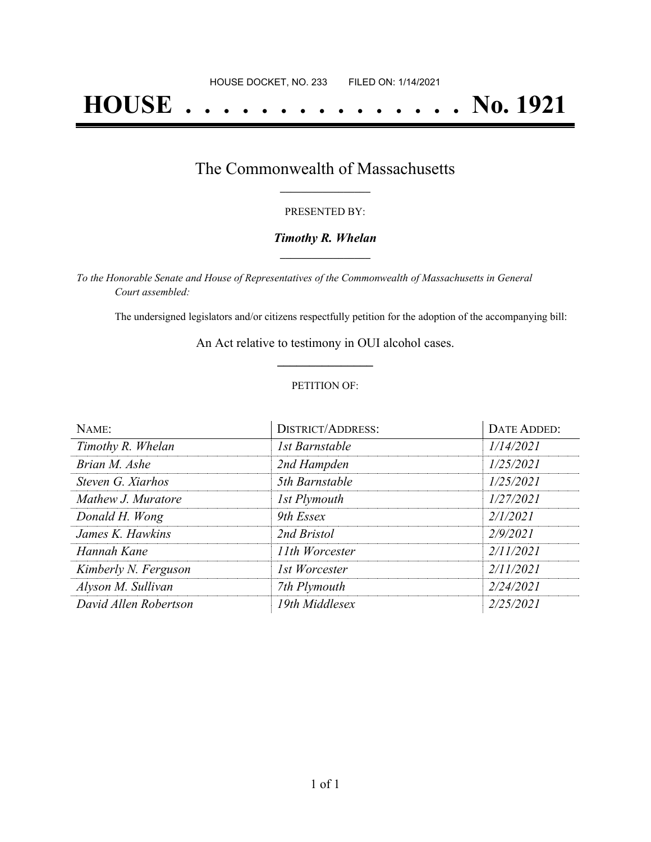# **HOUSE . . . . . . . . . . . . . . . No. 1921**

## The Commonwealth of Massachusetts **\_\_\_\_\_\_\_\_\_\_\_\_\_\_\_\_\_**

#### PRESENTED BY:

#### *Timothy R. Whelan* **\_\_\_\_\_\_\_\_\_\_\_\_\_\_\_\_\_**

*To the Honorable Senate and House of Representatives of the Commonwealth of Massachusetts in General Court assembled:*

The undersigned legislators and/or citizens respectfully petition for the adoption of the accompanying bill:

An Act relative to testimony in OUI alcohol cases. **\_\_\_\_\_\_\_\_\_\_\_\_\_\_\_**

#### PETITION OF:

| NAME:                 | <b>DISTRICT/ADDRESS:</b> | <b>DATE ADDED:</b> |
|-----------------------|--------------------------|--------------------|
| Timothy R. Whelan     | 1st Barnstable           | 1/14/2021          |
| Brian M. Ashe         | 2nd Hampden              | 1/25/2021          |
| Steven G. Xiarhos     | 5th Barnstable           | 1/25/2021          |
| Mathew J. Muratore    | 1st Plymouth             | 1/27/2021          |
| Donald H. Wong        | 9th Essex                | 2/1/2021           |
| James K. Hawkins      | 2nd Bristol              | 2/9/2021           |
| Hannah Kane           | 11th Worcester           | 2/11/2021          |
| Kimberly N. Ferguson  | 1st Worcester            | 2/11/2021          |
| Alyson M. Sullivan    | 7th Plymouth             | 2/24/2021          |
| David Allen Robertson | 19th Middlesex           | 2/25/2021          |